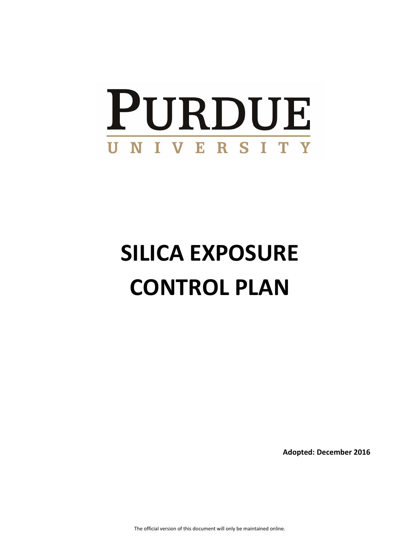# PURDUE UNIVERSITY

# **SILICA EXPOSURE CONTROL PLAN**

**Adopted: December 2016** 

The official version of this document will only be maintained online.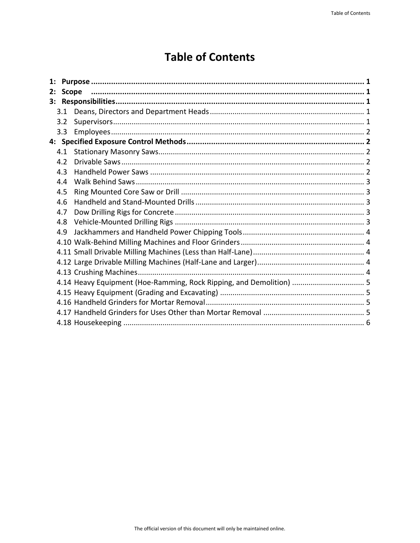# **Table of Contents**

| 2: | <b>Scope</b> |                                                                     |  |
|----|--------------|---------------------------------------------------------------------|--|
|    |              |                                                                     |  |
|    |              |                                                                     |  |
|    | 3.2          |                                                                     |  |
|    | 3.3          |                                                                     |  |
|    |              |                                                                     |  |
|    | 4.1          |                                                                     |  |
|    | 4.2          |                                                                     |  |
|    | 4.3          |                                                                     |  |
|    | 4.4          |                                                                     |  |
|    | 4.5          |                                                                     |  |
|    | 4.6          |                                                                     |  |
|    | 4.7          |                                                                     |  |
|    | 4.8          |                                                                     |  |
|    | 4.9          |                                                                     |  |
|    |              |                                                                     |  |
|    |              |                                                                     |  |
|    |              |                                                                     |  |
|    |              |                                                                     |  |
|    |              | 4.14 Heavy Equipment (Hoe-Ramming, Rock Ripping, and Demolition)  5 |  |
|    |              |                                                                     |  |
|    |              |                                                                     |  |
|    |              |                                                                     |  |
|    |              |                                                                     |  |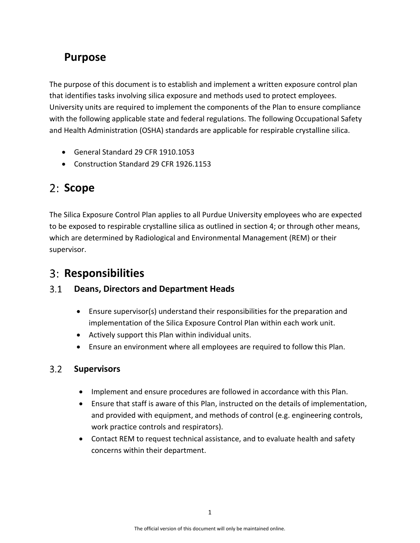# <span id="page-2-0"></span>**Purpose**

The purpose of this document is to establish and implement a written exposure control plan that identifies tasks involving silica exposure and methods used to protect employees. University units are required to implement the components of the Plan to ensure compliance with the following applicable state and federal regulations. The following Occupational Safety and Health Administration (OSHA) standards are applicable for respirable crystalline silica.

- General Standard 29 CFR 1910.1053
- Construction Standard 29 CFR 1926.1153

# <span id="page-2-1"></span>2: Scope

The Silica Exposure Control Plan applies to all Purdue University employees who are expected to be exposed to respirable crystalline silica as outlined in section 4; or through other means, which are determined by Radiological and Environmental Management (REM) or their supervisor.

# <span id="page-2-2"></span>**Responsibilities**

#### <span id="page-2-3"></span> $3.1$ **Deans, Directors and Department Heads**

- Ensure supervisor(s) understand their responsibilities for the preparation and implementation of the Silica Exposure Control Plan within each work unit.
- Actively support this Plan within individual units.
- Ensure an environment where all employees are required to follow this Plan.

#### <span id="page-2-4"></span> $3.2$ **Supervisors**

- Implement and ensure procedures are followed in accordance with this Plan.
- Ensure that staff is aware of this Plan, instructed on the details of implementation, and provided with equipment, and methods of control (e.g. engineering controls, work practice controls and respirators).
- Contact REM to request technical assistance, and to evaluate health and safety concerns within their department.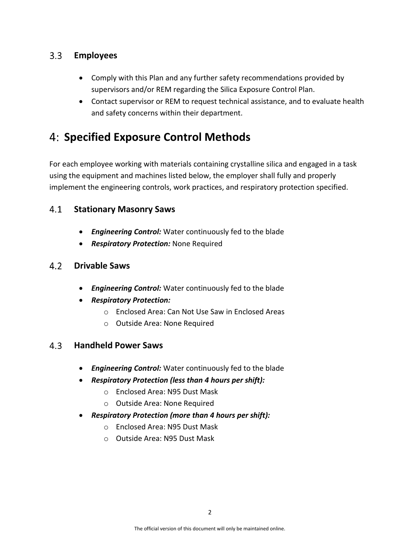#### <span id="page-3-0"></span> $3.3$ **Employees**

- Comply with this Plan and any further safety recommendations provided by supervisors and/or REM regarding the Silica Exposure Control Plan.
- Contact supervisor or REM to request technical assistance, and to evaluate health and safety concerns within their department.

# <span id="page-3-1"></span>**Specified Exposure Control Methods**

For each employee working with materials containing crystalline silica and engaged in a task using the equipment and machines listed below, the employer shall fully and properly implement the engineering controls, work practices, and respiratory protection specified.

#### <span id="page-3-2"></span> $4.1$ **Stationary Masonry Saws**

- *Engineering Control:* Water continuously fed to the blade
- *Respiratory Protection:* None Required

#### <span id="page-3-3"></span> $4.2$ **Drivable Saws**

- *Engineering Control:* Water continuously fed to the blade
- *Respiratory Protection:* 
	- o Enclosed Area: Can Not Use Saw in Enclosed Areas
	- o Outside Area: None Required

#### <span id="page-3-4"></span> $4.3$ **Handheld Power Saws**

- *Engineering Control:* Water continuously fed to the blade
- *Respiratory Protection (less than 4 hours per shift):* 
	- o Enclosed Area: N95 Dust Mask
	- o Outside Area: None Required
- *Respiratory Protection (more than 4 hours per shift):* 
	- o Enclosed Area: N95 Dust Mask
	- o Outside Area: N95 Dust Mask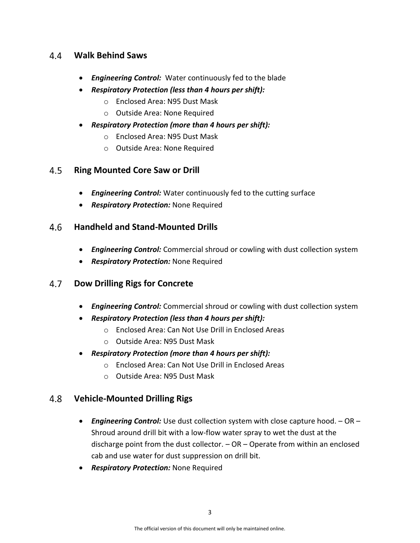#### <span id="page-4-0"></span>**Walk Behind Saws**   $4.4$

- *Engineering Control:* Water continuously fed to the blade
- *Respiratory Protection (less than 4 hours per shift):* 
	- o Enclosed Area: N95 Dust Mask
	- o Outside Area: None Required
- *Respiratory Protection (more than 4 hours per shift):* 
	- o Enclosed Area: N95 Dust Mask
	- o Outside Area: None Required

#### <span id="page-4-1"></span> $4.5$ **Ring Mounted Core Saw or Drill**

- *Engineering Control:* Water continuously fed to the cutting surface
- *Respiratory Protection:* None Required

#### <span id="page-4-2"></span> $4.6$ **Handheld and Stand-Mounted Drills**

- *Engineering Control:* Commercial shroud or cowling with dust collection system
- *Respiratory Protection:* None Required

#### <span id="page-4-3"></span> $4.7$ **Dow Drilling Rigs for Concrete**

- *Engineering Control:* Commercial shroud or cowling with dust collection system
- *Respiratory Protection (less than 4 hours per shift):* 
	- o Enclosed Area: Can Not Use Drill in Enclosed Areas
	- o Outside Area: N95 Dust Mask
- *Respiratory Protection (more than 4 hours per shift):* 
	- o Enclosed Area: Can Not Use Drill in Enclosed Areas
	- o Outside Area: N95 Dust Mask

#### <span id="page-4-4"></span>4.8 **Vehicle-Mounted Drilling Rigs**

- *Engineering Control:* Use dust collection system with close capture hood. OR Shroud around drill bit with a low-flow water spray to wet the dust at the discharge point from the dust collector. – OR – Operate from within an enclosed cab and use water for dust suppression on drill bit.
- *Respiratory Protection:* None Required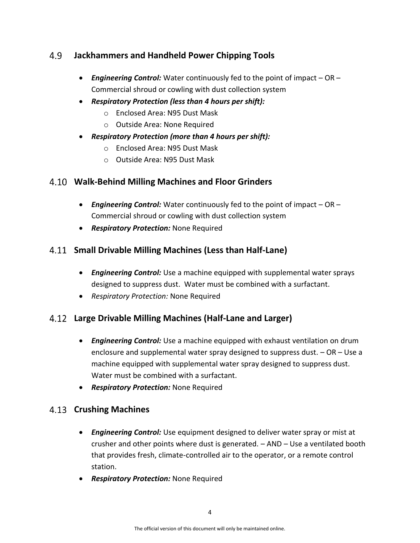#### <span id="page-5-0"></span>4.9 **Jackhammers and Handheld Power Chipping Tools**

- *Engineering Control:* Water continuously fed to the point of impact OR Commercial shroud or cowling with dust collection system
- *Respiratory Protection (less than 4 hours per shift):* 
	- o Enclosed Area: N95 Dust Mask
	- o Outside Area: None Required
- *Respiratory Protection (more than 4 hours per shift):* 
	- o Enclosed Area: N95 Dust Mask
	- o Outside Area: N95 Dust Mask

### <span id="page-5-1"></span>**Walk-Behind Milling Machines and Floor Grinders**

- *Engineering Control:* Water continuously fed to the point of impact OR Commercial shroud or cowling with dust collection system
- *Respiratory Protection:* None Required

## <span id="page-5-2"></span>**Small Drivable Milling Machines (Less than Half-Lane)**

- *Engineering Control:* Use a machine equipped with supplemental water sprays designed to suppress dust. Water must be combined with a surfactant.
- *Respiratory Protection:* None Required

# <span id="page-5-3"></span>**Large Drivable Milling Machines (Half-Lane and Larger)**

- *Engineering Control:* Use a machine equipped with exhaust ventilation on drum enclosure and supplemental water spray designed to suppress dust. – OR – Use a machine equipped with supplemental water spray designed to suppress dust. Water must be combined with a surfactant.
- *Respiratory Protection:* None Required

### <span id="page-5-4"></span>**Crushing Machines**

- *Engineering Control:* Use equipment designed to deliver water spray or mist at crusher and other points where dust is generated. – AND – Use a ventilated booth that provides fresh, climate-controlled air to the operator, or a remote control station.
- *Respiratory Protection:* None Required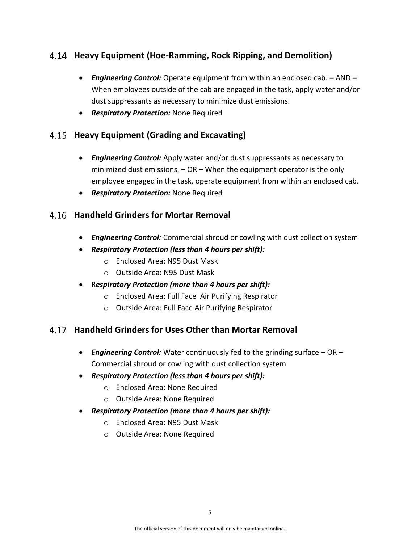# <span id="page-6-0"></span>**Heavy Equipment (Hoe-Ramming, Rock Ripping, and Demolition)**

- *Engineering Control:* Operate equipment from within an enclosed cab. AND When employees outside of the cab are engaged in the task, apply water and/or dust suppressants as necessary to minimize dust emissions.
- *Respiratory Protection:* None Required

## <span id="page-6-1"></span>**Heavy Equipment (Grading and Excavating)**

- *Engineering Control:* Apply water and/or dust suppressants as necessary to minimized dust emissions.  $-$  OR  $-$  When the equipment operator is the only employee engaged in the task, operate equipment from within an enclosed cab.
- *Respiratory Protection:* None Required

## <span id="page-6-2"></span>**Handheld Grinders for Mortar Removal**

- *Engineering Control:* Commercial shroud or cowling with dust collection system
- *Respiratory Protection (less than 4 hours per shift):* 
	- o Enclosed Area: N95 Dust Mask
	- o Outside Area: N95 Dust Mask
- R*espiratory Protection (more than 4 hours per shift):*
	- o Enclosed Area: Full Face Air Purifying Respirator
	- o Outside Area: Full Face Air Purifying Respirator

# <span id="page-6-3"></span>**Handheld Grinders for Uses Other than Mortar Removal**

- *Engineering Control:* Water continuously fed to the grinding surface OR Commercial shroud or cowling with dust collection system
- *Respiratory Protection (less than 4 hours per shift):* 
	- o Enclosed Area: None Required
	- o Outside Area: None Required
- *Respiratory Protection (more than 4 hours per shift):* 
	- o Enclosed Area: N95 Dust Mask
	- o Outside Area: None Required